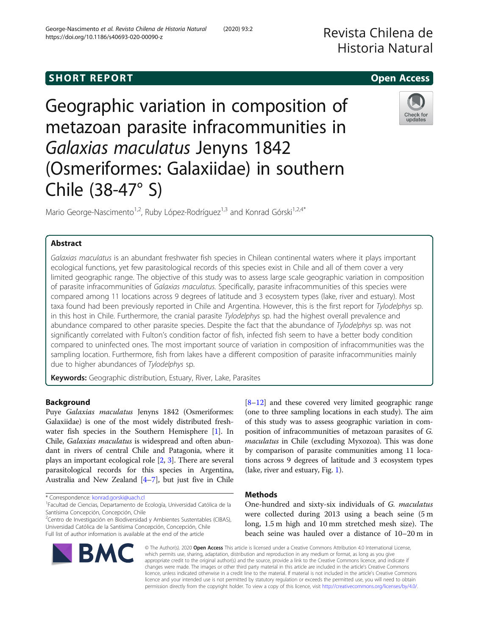# **SHORT REPORT CONTRACT CONTRACT CONTRACT CONTRACT CONTRACT CONTRACT CONTRACT CONTRACT CONTRACT CONTRACT CONTRACT**

Geographic variation in composition of metazoan parasite infracommunities in Galaxias maculatus Jenyns 1842 (Osmeriformes: Galaxiidae) in southern Chile (38-47° S)

Mario George-Nascimento<sup>1,2</sup>, Ruby López-Rodríguez<sup>1,3</sup> and Konrad Górski<sup>1,2,4\*</sup>

## Abstract

Galaxias maculatus is an abundant freshwater fish species in Chilean continental waters where it plays important ecological functions, yet few parasitological records of this species exist in Chile and all of them cover a very limited geographic range. The objective of this study was to assess large scale geographic variation in composition of parasite infracommunities of Galaxias maculatus. Specifically, parasite infracommunities of this species were compared among 11 locations across 9 degrees of latitude and 3 ecosystem types (lake, river and estuary). Most taxa found had been previously reported in Chile and Argentina. However, this is the first report for Tylodelphys sp. in this host in Chile. Furthermore, the cranial parasite Tylodelphys sp. had the highest overall prevalence and abundance compared to other parasite species. Despite the fact that the abundance of Tylodelphys sp. was not significantly correlated with Fulton's condition factor of fish, infected fish seem to have a better body condition compared to uninfected ones. The most important source of variation in composition of infracommunities was the sampling location. Furthermore, fish from lakes have a different composition of parasite infracommunities mainly due to higher abundances of Tylodelphys sp.

Keywords: Geographic distribution, Estuary, River, Lake, Parasites

## Background

Puye Galaxias maculatus Jenyns 1842 (Osmeriformes: Galaxiidae) is one of the most widely distributed freshwater fish species in the Southern Hemisphere [[1\]](#page-4-0). In Chile, Galaxias maculatus is widespread and often abundant in rivers of central Chile and Patagonia, where it plays an important ecological role [[2,](#page-4-0) [3](#page-4-0)]. There are several parasitological records for this species in Argentina, Australia and New Zealand [\[4](#page-4-0)–[7](#page-5-0)], but just five in Chile

\* Correspondence: [konrad.gorski@uach.cl](mailto:konrad.gorski@uach.cl) <sup>1</sup>

**BMC** 

<sup>2</sup>Centro de Investigación en Biodiversidad y Ambientes Sustentables (CIBAS), Universidad Católica de la Santísima Concepción, Concepción, Chile Full list of author information is available at the end of the article

> © The Author(s). 2020 Open Access This article is licensed under a Creative Commons Attribution 4.0 International License, which permits use, sharing, adaptation, distribution and reproduction in any medium or format, as long as you give appropriate credit to the original author(s) and the source, provide a link to the Creative Commons licence, and indicate if changes were made. The images or other third party material in this article are included in the article's Creative Commons licence, unless indicated otherwise in a credit line to the material. If material is not included in the article's Creative Commons licence and your intended use is not permitted by statutory regulation or exceeds the permitted use, you will need to obtain permission directly from the copyright holder. To view a copy of this licence, visit [http://creativecommons.org/licenses/by/4.0/.](http://creativecommons.org/licenses/by/4.0/)

(one to three sampling locations in each study). The aim of this study was to assess geographic variation in composition of infracommunities of metazoan parasites of G. maculatus in Chile (excluding Myxozoa). This was done by comparison of parasite communities among 11 locations across 9 degrees of latitude and 3 ecosystem types (lake, river and estuary, Fig. [1\)](#page-1-0).

[[8](#page-5-0)–[12](#page-5-0)] and these covered very limited geographic range

## **Methods**

One-hundred and sixty-six individuals of G. maculatus were collected during 2013 using a beach seine (5 m long, 1.5 m high and 10 mm stretched mesh size). The beach seine was hauled over a distance of 10–20 m in







Facultad de Ciencias, Departamento de Ecología, Universidad Católica de la Santísima Concepción, Concepción, Chile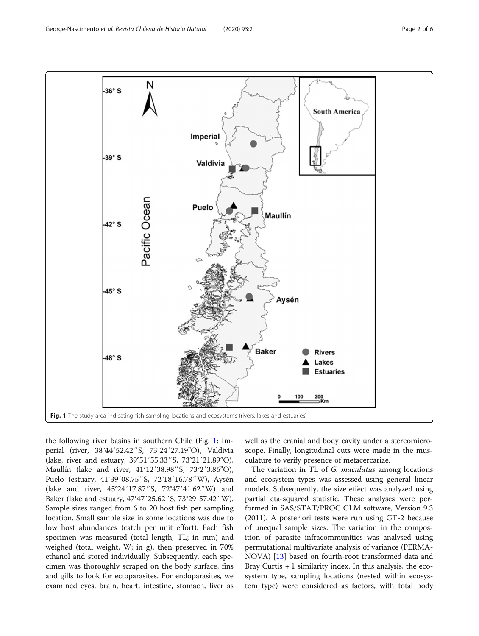<span id="page-1-0"></span>

the following river basins in southern Chile (Fig. 1: Imperial (river, 38°44′52.42″S, 73°24′27.19"O), Valdivia (lake, river and estuary, 39°51′55.33″S, 73°21′21.89"O), Maullín (lake and river, 41°12′38.98″S, 73°2′3.86"O), Puelo (estuary, 41°39′08.75″S, 72°18′16.78″W), Aysén (lake and river, 45°24′17.87″S, 72°47′41.62″W) and Baker (lake and estuary, 47°47′25.62″S, 73°29′57.42″W). Sample sizes ranged from 6 to 20 host fish per sampling location. Small sample size in some locations was due to low host abundances (catch per unit effort). Each fish specimen was measured (total length, TL; in mm) and weighed (total weight, W; in g), then preserved in 70% ethanol and stored individually. Subsequently, each specimen was thoroughly scraped on the body surface, fins and gills to look for ectoparasites. For endoparasites, we examined eyes, brain, heart, intestine, stomach, liver as

well as the cranial and body cavity under a stereomicroscope. Finally, longitudinal cuts were made in the musculature to verify presence of metacercariae.

The variation in TL of G. maculatus among locations and ecosystem types was assessed using general linear models. Subsequently, the size effect was analyzed using partial eta-squared statistic. These analyses were performed in SAS/STAT/PROC GLM software, Version 9.3 (2011). A posteriori tests were run using GT-2 because of unequal sample sizes. The variation in the composition of parasite infracommunities was analysed using permutational multivariate analysis of variance (PERMA-NOVA) [\[13](#page-5-0)] based on fourth-root transformed data and Bray Curtis + 1 similarity index. In this analysis, the ecosystem type, sampling locations (nested within ecosystem type) were considered as factors, with total body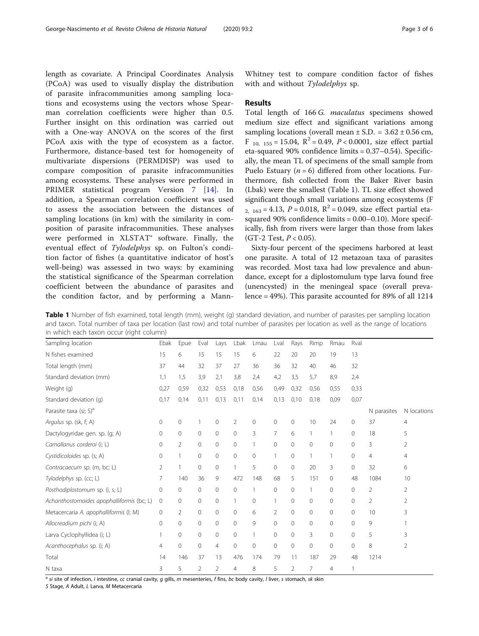<span id="page-2-0"></span>length as covariate. A Principal Coordinates Analysis (PCoA) was used to visually display the distribution of parasite infracommunities among sampling locations and ecosystems using the vectors whose Spearman correlation coefficients were higher than 0.5. Further insight on this ordination was carried out with a One-way ANOVA on the scores of the first PCoA axis with the type of ecosystem as a factor. Furthermore, distance-based test for homogeneity of multivariate dispersions (PERMDISP) was used to compare composition of parasite infracommunities among ecosystems. These analyses were performed in PRIMER statistical program Version 7 [[14\]](#page-5-0). In addition, a Spearman correlation coefficient was used to assess the association between the distances of sampling locations (in km) with the similarity in composition of parasite infracommunities. These analyses were performed in XLSTAT® software. Finally, the eventual effect of Tylodelphys sp. on Fulton's condition factor of fishes (a quantitative indicator of host's well-being) was assessed in two ways: by examining the statistical significance of the Spearman correlation coefficient between the abundance of parasites and the condition factor, and by performing a Mann-

Whitney test to compare condition factor of fishes with and without Tylodelphys sp.

### Results

Total length of 166 G. maculatus specimens showed medium size effect and significant variations among sampling locations (overall mean  $\pm$  S.D. = 3.62  $\pm$  0.56 cm, F<sub>10, 155</sub> = 15.04,  $R^2$  = 0.49, P < 0.0001, size effect partial eta-squared 90% confidence limits = 0.37–0.54). Specifically, the mean TL of specimens of the small sample from Puelo Estuary ( $n = 6$ ) differed from other locations. Furthermore, fish collected from the Baker River basin (Lbak) were the smallest (Table 1). TL size effect showed significant though small variations among ecosystems (F  $R_{2, 163} = 4.13$ ,  $P = 0.018$ ,  $R^2 = 0.049$ , size effect partial etasquared 90% confidence limits = 0.00–0.10). More specifically, fish from rivers were larger than those from lakes (GT-2 Test,  $P < 0.05$ ).

Sixty-four percent of the specimens harbored at least one parasite. A total of 12 metazoan taxa of parasites was recorded. Most taxa had low prevalence and abundance, except for a diplostomulum type larva found free (unencysted) in the meningeal space (overall prevalence = 49%). This parasite accounted for 89% of all 1214

Table 1 Number of fish examined, total length (mm), weight (g) standard deviation, and number of parasites per sampling location and taxon. Total number of taxa per location (last row) and total number of parasites per location as well as the range of locations in which each taxon occur (right column)

| Sampling location                         | Ebak        | Epue         | Eval           | Lays           | Lbak           | Lmau         | Lval           | Rays           | Rimp         | Rmau           | Rval     |                |                |
|-------------------------------------------|-------------|--------------|----------------|----------------|----------------|--------------|----------------|----------------|--------------|----------------|----------|----------------|----------------|
| N fishes examined                         | 15          | 6            | 15             | 15             | 15             | 6            | 22             | 20             | 20           | 19             | 13       |                |                |
| Total length (mm)                         | 37          | 44           | 32             | 37             | 27             | 36           | 36             | 32             | 40           | 46             | 32       |                |                |
| Standard deviation (mm)                   | 1,1         | 1,5          | 3,9            | 2,1            | 3,8            | 2,4          | 4,2            | 3,5            | 5,7          | 8,9            | 2,4      |                |                |
| Weight (g)                                | 0,27        | 0,59         | 0,32           | 0,53           | 0,18           | 0,56         | 0,49           | 0,32           | 0,56         | 0,55           | 0,33     |                |                |
| Standard deviation (q)                    | 0,17        | 0,14         | 0,11           | 0,13           | 0,11           | 0,14         | 0,13           | 0,10           | 0,18         | 0,09           | 0,07     |                |                |
| Parasite taxa (si; S) <sup>a</sup>        |             |              |                |                |                |              |                |                |              |                |          | N parasites    | N locations    |
| Argulus sp. (sk, f; A)                    | $\circ$     | 0            |                | $\mathbf 0$    | $\overline{2}$ | $\mathbf{0}$ | $\mathbf{0}$   | $\mathbf{0}$   | 10           | 24             | 0        | 37             | $\overline{4}$ |
| Dactylogyridae gen. sp. (g; A)            | $\circ$     | $\mathbf{0}$ | $\mathbf{0}$   | $\Omega$       | $\mathbf{0}$   | 3            | 7              | 6              | 1            | 1              | $\circ$  | 18             | 5              |
| Camallanus corderoi (i; L)                | 0           | 2            | 0              | $\Omega$       | $\mathbf{0}$   | 1            | $\mathbf{0}$   | $\mathbf{0}$   | $\Omega$     | $\Omega$       | $\Omega$ | 3              | 2              |
| Cystidicoloides sp. (s; A)                | 0           | 1            | 0              | $\mathbf 0$    | 0              | $\mathbf 0$  | $\mathbf{1}$   | $\mathbf{0}$   |              | 1              | 0        | $\overline{4}$ | $\overline{4}$ |
| Contracaecum sp. (m, bc; L)               | 2           | 1            | 0              | $\circ$        |                | 5            | 0              | $\mathbf{0}$   | 20           | 3              | $\Omega$ | 32             | 6              |
| Tylodelphys sp. (cc; L)                   | 7           | 140          | 36             | 9              | 472            | 148          | 68             | 5              | 151          | 0              | 48       | 1084           | 10             |
| Posthodiplostomum sp. (i, s; L)           | 0           | 0            | 0              | $\Omega$       | $\mathbf{0}$   | 1            | $\mathbf 0$    | $\mathbf{0}$   | 1            | 0              | $\circ$  | 2              | 2              |
| Achanthostomoides apophalliformis (bc; L) | $\mathbf 0$ | $\mathbf{0}$ | 0              | $\mathbf 0$    | $\mathbf{1}$   | $\mathbf{0}$ | $\mathbf{1}$   | $\mathbf{0}$   | $\mathbf{0}$ | 0              | $\circ$  | $\overline{2}$ | 2              |
| Metacercaria A. apophalliformis (I; M)    | 0           | 2            | 0              | $\mathbf 0$    | $\mathbf{0}$   | 6            | $\overline{2}$ | $\mathbf{0}$   | $\mathbf{0}$ | 0              | $\circ$  | 10             | 3              |
| Allocreadium pichi (i; A)                 | 0           | $\Omega$     | $\Omega$       | $\Omega$       | $\Omega$       | 9            | $\Omega$       | $\Omega$       | $\Omega$     | $\Omega$       | $\Omega$ | 9              |                |
| Larva Cyclophyllidea (i; L)               |             | 0            | 0              | $\Omega$       | $\mathbf{0}$   | 1            | $\mathbf{0}$   | $\mathbf{0}$   | 3            | $\Omega$       | $\Omega$ | 5              | 3              |
| Acanthocephalus sp. (i; A)                | 4           | 0            | 0              | $\overline{4}$ | $\mathbf{0}$   | $\mathbf{0}$ | $\mathbf{0}$   | $\mathbf{0}$   | $\Omega$     | $\Omega$       | $\Omega$ | 8              | $\overline{2}$ |
| Total                                     | 14          | 146          | 37             | 13             | 476            | 174          | 79             | 11             | 187          | 29             | 48       | 1214           |                |
| N taxa                                    | 3           | 5            | $\overline{2}$ | 2              | 4              | 8            | 5              | $\overline{2}$ | 7            | $\overline{4}$ |          |                |                |

 $a$  si site of infection, i intestine, cc cranial cavity, g gills, m mesenteries, f fins, bc body cavity, I liver, s stomach, sk skin

S Stage, A Adult, L Larva, M Metacercaria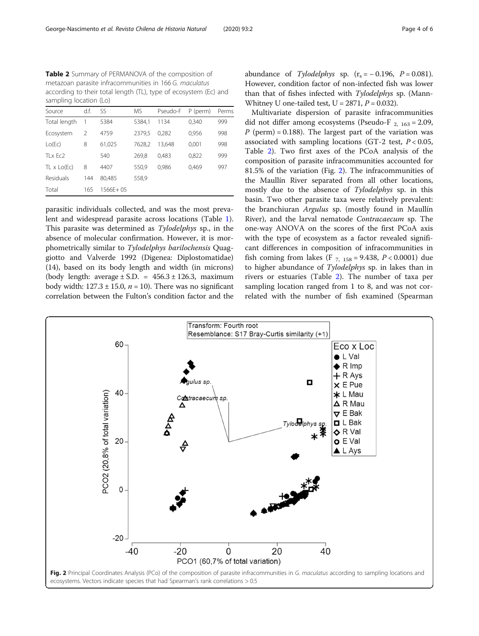Table 2 Summary of PERMANOVA of the composition of metazoan parasite infracommunities in 166 G. maculatus according to their total length (TL), type of ecosystem (Ec) and sampling location (Lo)

| Source             | d.f. | SS       | МS     | Pseudo-F | P (perm) | Perms |  |
|--------------------|------|----------|--------|----------|----------|-------|--|
| Total length       | 1    | 5384     | 5384,1 | 1134     | 0,340    | 999   |  |
| Ecosystem          | 2    | 4759     | 2379.5 | 0.282    | 0,956    | 998   |  |
| Lo(Ec)             | 8    | 61,025   | 7628,2 | 13.648   | 0,001    | 998   |  |
| $T1 \times Fc2$    |      | 540      | 269.8  | 0.483    | 0,822    | 999   |  |
| $TL \times LO(Ec)$ | 8    | 4407     | 550,9  | 0,986    | 0,469    | 997   |  |
| <b>Residuals</b>   | 144  | 80.485   | 558,9  |          |          |       |  |
| Total              | 165  | 1566E+05 |        |          |          |       |  |

parasitic individuals collected, and was the most prevalent and widespread parasite across locations (Table [1](#page-2-0)). This parasite was determined as Tylodelphys sp., in the absence of molecular confirmation. However, it is morphometrically similar to Tylodelphys barilochensis Quaggiotto and Valverde 1992 (Digenea: Diplostomatidae) (14), based on its body length and width (in microns) (body length: average  $\pm$  S.D. = 456.3  $\pm$  126.3, maximum body width:  $127.3 \pm 15.0$ ,  $n = 10$ ). There was no significant correlation between the Fulton's condition factor and the

abundance of Tylodelphys sp.  $(r_s = -0.196, P = 0.081)$ . However, condition factor of non-infected fish was lower than that of fishes infected with Tylodelphys sp. (Mann-Whitney U one-tailed test,  $U = 2871$ ,  $P = 0.032$ ).

Multivariate dispersion of parasite infracommunities did not differ among ecosystems (Pseudo-F  $_{2,163}$  = 2.09,  $P$  (perm) = 0.188). The largest part of the variation was associated with sampling locations (GT-2 test,  $P < 0.05$ , Table 2). Two first axes of the PCoA analysis of the composition of parasite infracommunities accounted for 81.5% of the variation (Fig. 2). The infracommunities of the Maullín River separated from all other locations, mostly due to the absence of Tylodelphys sp. in this basin. Two other parasite taxa were relatively prevalent: the branchiuran Argulus sp. (mostly found in Maullín River), and the larval nematode Contracaecum sp. The one-way ANOVA on the scores of the first PCoA axis with the type of ecosystem as a factor revealed significant differences in composition of infracommunities in fish coming from lakes (F  $_{7, 158} = 9.438$ ,  $P < 0.0001$ ) due to higher abundance of Tylodelphys sp. in lakes than in rivers or estuaries (Table 2). The number of taxa per sampling location ranged from 1 to 8, and was not correlated with the number of fish examined (Spearman

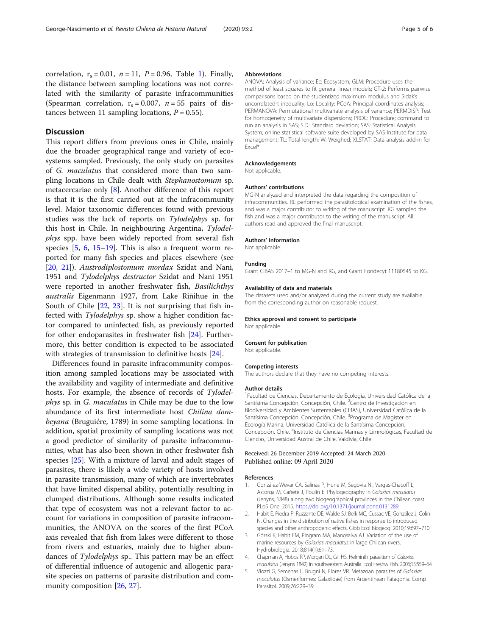<span id="page-4-0"></span>correlation,  $r_s = 0.01$  $r_s = 0.01$ ,  $n = 11$ ,  $P = 0.96$ , Table 1). Finally, the distance between sampling locations was not correlated with the similarity of parasite infracommunities (Spearman correlation,  $r_s = 0.007$ ,  $n = 55$  pairs of distances between 11 sampling locations,  $P = 0.55$ ).

## **Discussion**

This report differs from previous ones in Chile, mainly due the broader geographical range and variety of ecosystems sampled. Previously, the only study on parasites of G. maculatus that considered more than two sampling locations in Chile dealt with Stephanostomum sp. metacercariae only [[8\]](#page-5-0). Another difference of this report is that it is the first carried out at the infracommunity level. Major taxonomic differences found with previous studies was the lack of reports on Tylodelphys sp. for this host in Chile. In neighbouring Argentina, Tylodelphys spp. have been widely reported from several fish species  $[5, 6, 15-19]$  $[5, 6, 15-19]$  $[5, 6, 15-19]$  $[5, 6, 15-19]$  $[5, 6, 15-19]$  $[5, 6, 15-19]$ . This is also a frequent worm reported for many fish species and places elsewhere (see [[20,](#page-5-0) [21](#page-5-0)]). Austrodiplostomum mordax Szidat and Nani, 1951 and Tylodelphys destructor Szidat and Nani 1951 were reported in another freshwater fish, Basilichthys australis Eigenmann 1927, from Lake Riñihue in the South of Chile [\[22](#page-5-0), [23\]](#page-5-0). It is not surprising that fish infected with Tylodelphys sp. show a higher condition factor compared to uninfected fish, as previously reported for other endoparasites in freshwater fish [\[24](#page-5-0)]. Furthermore, this better condition is expected to be associated with strategies of transmission to definitive hosts [\[24](#page-5-0)].

Differences found in parasite infracommunity composition among sampled locations may be associated with the availability and vagility of intermediate and definitive hosts. For example, the absence of records of Tylodelphys sp. in G. maculatus in Chile may be due to the low abundance of its first intermediate host Chilina dombeyana (Bruguiére, 1789) in some sampling locations. In addition, spatial proximity of sampling locations was not a good predictor of similarity of parasite infracommunities, what has also been shown in other freshwater fish species [[25](#page-5-0)]. With a mixture of larval and adult stages of parasites, there is likely a wide variety of hosts involved in parasite transmission, many of which are invertebrates that have limited dispersal ability, potentially resulting in clumped distributions. Although some results indicated that type of ecosystem was not a relevant factor to account for variations in composition of parasite infracommunities, the ANOVA on the scores of the first PCoA axis revealed that fish from lakes were different to those from rivers and estuaries, mainly due to higher abundances of Tylodelphys sp.. This pattern may be an effect of differential influence of autogenic and allogenic parasite species on patterns of parasite distribution and community composition [\[26](#page-5-0), [27](#page-5-0)].

#### Abbreviations

ANOVA: Analysis of variance; Ec: Ecosystem; GLM: Procedure uses the method of least squares to fit general linear models; GT-2: Performs pairwise comparisons based on the studentized maximum modulus and Sidak's uncorrelated-t inequality; Lo: Locality; PCoA: Principal coordinates analysis; PERMANOVA: Permutational multivariate analysis of variance; PERMDISP: Test for homogeneity of multivariate dispersions; PROC: Procedure; command to run an analysis in SAS; S.D.: Standard deviation; SAS: Statistical Analysis System; online statistical software suite developed by SAS Institute for data management; TL: Total length; W: Weighed; XLSTAT: Data analysis add-in for Excel®

#### Acknowledgements

Not applicable.

#### Authors' contributions

MG-N analyzed and interpreted the data regarding the composition of infracommunities. RL performed the parasitological examination of the fishes, and was a major contributor to writing of the manuscript. KG sampled the fish and was a major contributor to the writing of the manuscript. All authors read and approved the final manuscript.

#### Authors' information

Not applicable

#### Funding

Grant CIBAS 2017–1 to MG-N and KG, and Grant Fondecyt 11180545 to KG.

#### Availability of data and materials

The datasets used and/or analyzed during the current study are available from the corresponding author on reasonable request.

#### Ethics approval and consent to participate

Not applicable.

#### Consent for publication

Not applicable.

#### Competing interests

The authors declare that they have no competing interests.

#### Author details

<sup>1</sup>Facultad de Ciencias, Departamento de Ecología, Universidad Católica de la Santísima Concepción, Concepción, Chile. <sup>2</sup>Centro de Investigación en Biodiversidad y Ambientes Sustentables (CIBAS), Universidad Católica de la Santísima Concepción, Concepción, Chile. <sup>3</sup>Programa de Magister en Ecología Marina, Universidad Católica de la Santísima Concepción, Concepción, Chile. <sup>4</sup>Instituto de Ciencias Marinas y Limnológicas, Facultad de Ciencias, Universidad Austral de Chile, Valdivia, Chile.

#### Received: 26 December 2019 Accepted: 24 March 2020 Published online: 09 April 2020

#### References

- 1. González-Wevar CA, Salinas P, Hune M, Segovia NI, Vargas-Chacoff L, Astorga M, Cañete J, Poulin E. Phylogeography in Galaxias maculatus (Jenyns, 1848) along two biogeographical provinces in the Chilean coast. PLoS One. 2015. [https://doi.org/10.1371/journal.pone.0131289.](https://doi.org/10.1371/journal.pone.0131289)
- 2. Habit E, Piedra P, Ruzzante DE, Walde SJ, Belk MC, Cussac VE, González J, Colin N. Changes in the distribution of native fishes in response to introduced species and other anthropogenic effects. Glob Ecol Biogeog. 2010;19:697–710.
- 3. Górski K, Habit EM, Pingram MA, Manosalva AJ. Variation of the use of marine resources by Galaxias maculatus in large Chilean rivers. Hydrobiologia. 2018;814(1):61–73.
- 4. Chapman A, Hobbs RP, Morgan DL, Gill HS. Helminth parasitism of Galaxias maculatus (Jenyns 1842) in southwestern Australia. Ecol Freshw Fish. 2006;15:559–64.
- 5. Viozzi G, Semenas L, Brugni N, Flores VR. Metazoan parasites of Galaxias maculatus (Osmeriformes: Galaxiidae) from Argentinean Patagonia. Comp Parasitol. 2009;76:229–39.